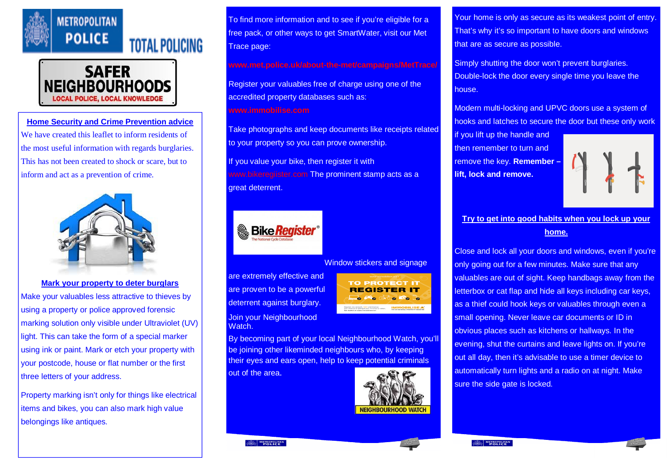



**Home Security and Crime Prevention advice** We have created this leaflet to inform residents of the most useful information with regards burglaries. This has not been created to shock or scare, but to inform and act as a prevention of crime.



**Mark your property to deter burglars** Make your valuables less attractive to thieves by using a property or police approved forensic marking solution only visible under Ultraviolet (UV) light. This can take the form of a special marker using ink or paint. Mark or etch your property with your postcode, house or flat number or the first three letters of your address.

Property marking isn't only for things like electrical items and bikes, you can also mark high value belongings like antiques.

To find more information and to see if you're eligible for a free pack, or other ways to get SmartWater, visit our Met Trace page:

**www.met.police.uk/about-the-met/campaigns/MetTrace/**

Register your valuables free of charge using one of the accredited property databases such as: **www.immobilise.com**

Take photographs and keep documents like receipts related to your property so you can prove ownership.

If you value your bike, then register it with www.bikeregiister.com The prominent stamp acts as a great deterrent.



## Window stickers and signage

are extremely effective and are proven to be a powerful deterrent against burglary. Join your Neighbourhood Watch.

**TO PROTECT IT REGISTER IT** Pro City Do Lo **IMMOBILISE** 

By becoming part of your local Neighbourhood Watch, you'll be joining other likeminded neighbours who, by keeping their eyes and ears open, help to keep potential criminals out of the area.



Your home is only as secure as its weakest point of entry. That's why it's so important to have doors and windows that are as secure as possible.

Simply shutting the door won't prevent burglaries. Double-lock the door every single time you leave the house.

Modern multi-locking and UPVC doors use a system of hooks and latches to secure the door but these only work

if you lift up the handle and then remember to turn and remove the key. **Remember – lift, lock and remove.**



## **Try to get into good habits when you lock up your home.**

Close and lock all your doors and windows, even if you're only going out for a few minutes. Make sure that any valuables are out of sight. Keep handbags away from the letterbox or cat flap and hide all keys including car keys, as a thief could hook keys or valuables through even a small opening. Never leave car documents or ID in obvious places such as kitchens or hallways. In the evening, shut the curtains and leave lights on. If you're out all day, then it's advisable to use a timer device to automatically turn lights and a radio on at night. Make sure the side gate is locked.